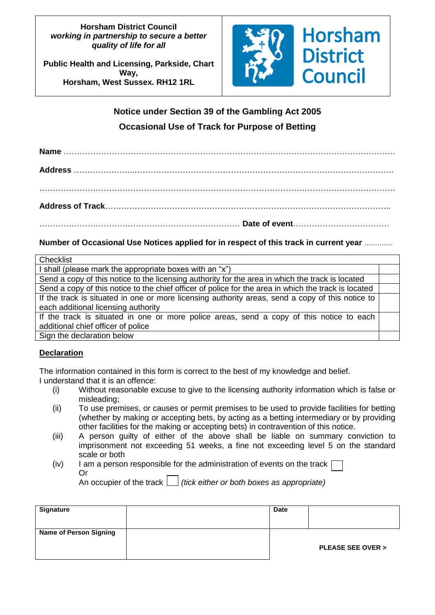### **Horsham District Council** *working in partnership to secure a better quality of life for all*

**Public Health and Licensing, Parkside, Chart Way, Horsham, West Sussex. RH12 1RL**



# **Notice under Section 39 of the Gambling Act 2005 Occasional Use of Track for Purpose of Betting**

**Name** ……………………………………………………………………………………………………………. **Address** …………………..……………………………………………………………………………………. ……………………………………………………………………………………………………………………. **Address of Track**…………………………………………………………………………………………….. ………………………………………………………………… **Date of event**………………………………

# **Number of Occasional Use Notices applied for in respect of this track in current year** ………….

| Checklist                                                                                            |  |  |  |
|------------------------------------------------------------------------------------------------------|--|--|--|
| I shall (please mark the appropriate boxes with an "x")                                              |  |  |  |
| Send a copy of this notice to the licensing authority for the area in which the track is located     |  |  |  |
| Send a copy of this notice to the chief officer of police for the area in which the track is located |  |  |  |
| If the track is situated in one or more licensing authority areas, send a copy of this notice to     |  |  |  |
| each additional licensing authority                                                                  |  |  |  |
| If the track is situated in one or more police areas, send a copy of this notice to each             |  |  |  |
| additional chief officer of police                                                                   |  |  |  |
| Sign the declaration below                                                                           |  |  |  |

# **Declaration**

The information contained in this form is correct to the best of my knowledge and belief. I understand that it is an offence:

- (i) Without reasonable excuse to give to the licensing authority information which is false or misleading;
- (ii) To use premises, or causes or permit premises to be used to provide facilities for betting (whether by making or accepting bets, by acting as a betting intermediary or by providing other facilities for the making or accepting bets) in contravention of this notice.
- (iii) A person guilty of either of the above shall be liable on summary conviction to imprisonment not exceeding 51 weeks, a fine not exceeding level 5 on the standard scale or both
- (iv) I am a person responsible for the administration of events on the track [ Or

An occupier of the track  $\Box$  (tick either or both boxes as appropriate)

| <b>Signature</b>              | <b>Date</b> |                             |
|-------------------------------|-------------|-----------------------------|
| <b>Name of Person Signing</b> |             | <b>PLEASE SEE OVER &gt;</b> |